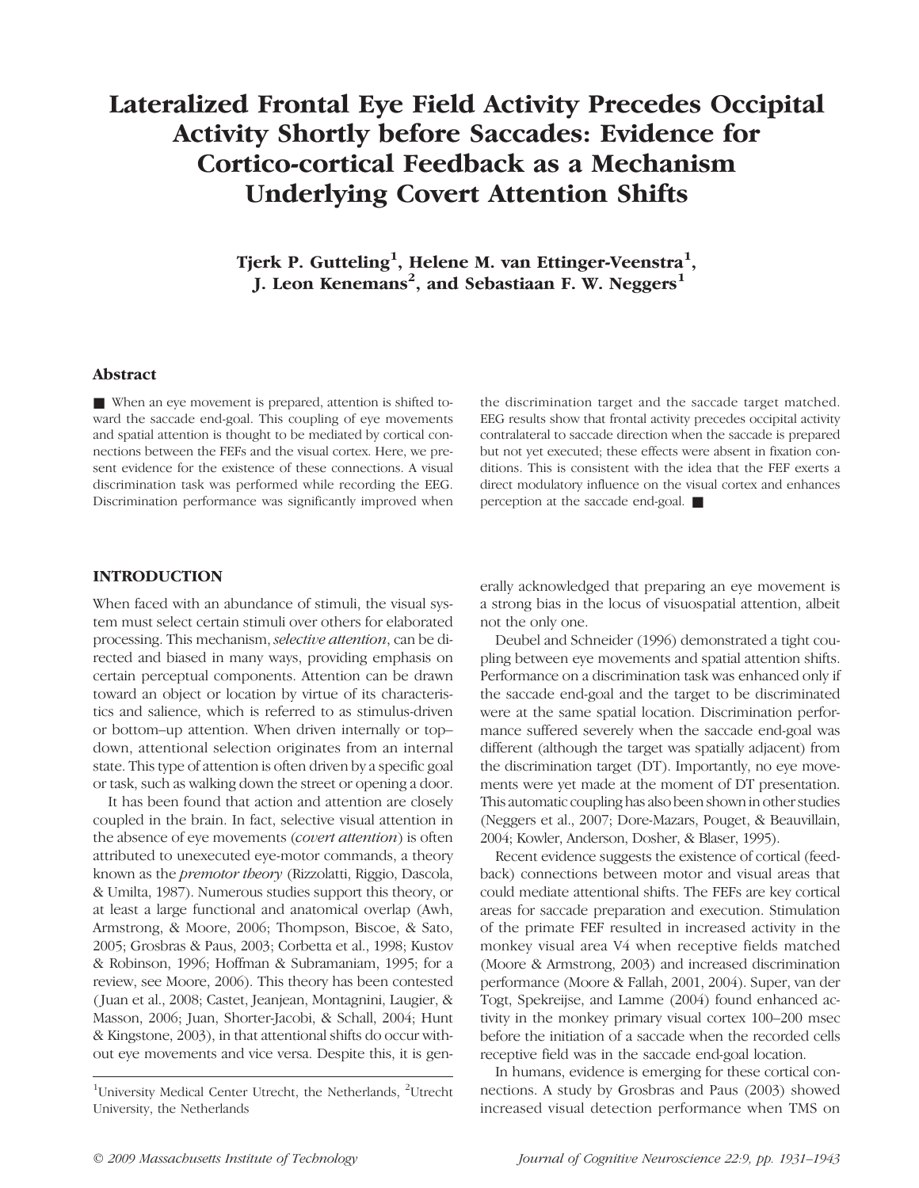# Lateralized Frontal Eye Field Activity Precedes Occipital Activity Shortly before Saccades: Evidence for Cortico-cortical Feedback as a Mechanism Underlying Covert Attention Shifts

Tjerk P. Gutteling<sup>1</sup>, Helene M. van Ettinger-Veenstra<sup>1</sup>, J. Leon Kenemans<sup>2</sup>, and Sebastiaan F. W. Neggers<sup>1</sup>

## Abstract

■ When an eye movement is prepared, attention is shifted toward the saccade end-goal. This coupling of eye movements and spatial attention is thought to be mediated by cortical connections between the FEFs and the visual cortex. Here, we present evidence for the existence of these connections. A visual discrimination task was performed while recording the EEG. Discrimination performance was significantly improved when

the discrimination target and the saccade target matched. EEG results show that frontal activity precedes occipital activity contralateral to saccade direction when the saccade is prepared but not yet executed; these effects were absent in fixation conditions. This is consistent with the idea that the FEF exerts a direct modulatory influence on the visual cortex and enhances perception at the saccade end-goal. ■

## INTRODUCTION

When faced with an abundance of stimuli, the visual system must select certain stimuli over others for elaborated processing. This mechanism, selective attention, can be directed and biased in many ways, providing emphasis on certain perceptual components. Attention can be drawn toward an object or location by virtue of its characteristics and salience, which is referred to as stimulus-driven or bottom–up attention. When driven internally or top– down, attentional selection originates from an internal state. This type of attention is often driven by a specific goal or task, such as walking down the street or opening a door.

It has been found that action and attention are closely coupled in the brain. In fact, selective visual attention in the absence of eye movements (covert attention) is often attributed to unexecuted eye-motor commands, a theory known as the premotor theory (Rizzolatti, Riggio, Dascola, & Umilta, 1987). Numerous studies support this theory, or at least a large functional and anatomical overlap (Awh, Armstrong, & Moore, 2006; Thompson, Biscoe, & Sato, 2005; Grosbras & Paus, 2003; Corbetta et al., 1998; Kustov & Robinson, 1996; Hoffman & Subramaniam, 1995; for a review, see Moore, 2006). This theory has been contested ( Juan et al., 2008; Castet, Jeanjean, Montagnini, Laugier, & Masson, 2006; Juan, Shorter-Jacobi, & Schall, 2004; Hunt & Kingstone, 2003), in that attentional shifts do occur without eye movements and vice versa. Despite this, it is generally acknowledged that preparing an eye movement is a strong bias in the locus of visuospatial attention, albeit not the only one.

Deubel and Schneider (1996) demonstrated a tight coupling between eye movements and spatial attention shifts. Performance on a discrimination task was enhanced only if the saccade end-goal and the target to be discriminated were at the same spatial location. Discrimination performance suffered severely when the saccade end-goal was different (although the target was spatially adjacent) from the discrimination target (DT). Importantly, no eye movements were yet made at the moment of DT presentation. This automatic coupling has also been shown in other studies (Neggers et al., 2007; Dore-Mazars, Pouget, & Beauvillain, 2004; Kowler, Anderson, Dosher, & Blaser, 1995).

Recent evidence suggests the existence of cortical (feedback) connections between motor and visual areas that could mediate attentional shifts. The FEFs are key cortical areas for saccade preparation and execution. Stimulation of the primate FEF resulted in increased activity in the monkey visual area V4 when receptive fields matched (Moore & Armstrong, 2003) and increased discrimination performance (Moore & Fallah, 2001, 2004). Super, van der Togt, Spekreijse, and Lamme (2004) found enhanced activity in the monkey primary visual cortex 100–200 msec before the initiation of a saccade when the recorded cells receptive field was in the saccade end-goal location.

In humans, evidence is emerging for these cortical connections. A study by Grosbras and Paus (2003) showed increased visual detection performance when TMS on

<sup>&</sup>lt;sup>1</sup>University Medical Center Utrecht, the Netherlands, <sup>2</sup>Utrecht University, the Netherlands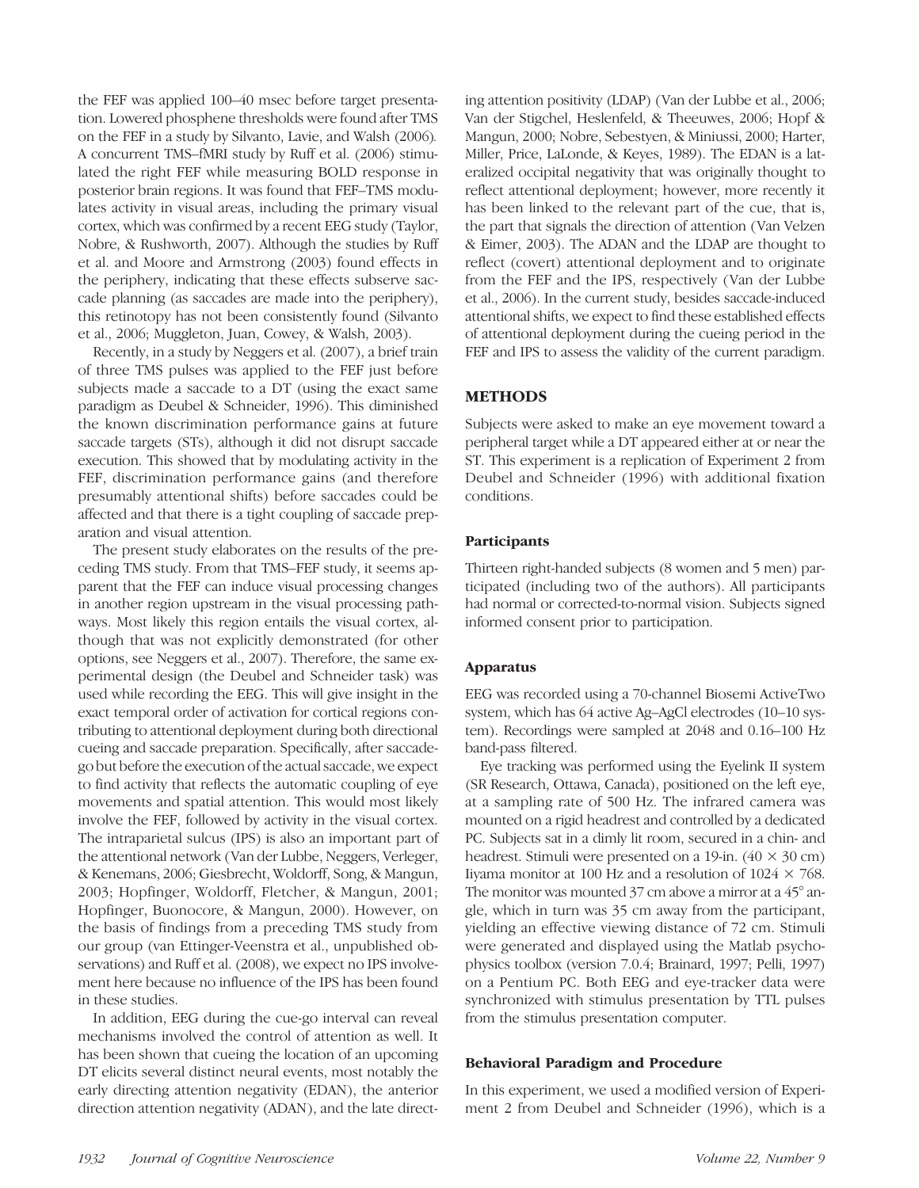the FEF was applied 100–40 msec before target presentation. Lowered phosphene thresholds were found after TMS on the FEF in a study by Silvanto, Lavie, and Walsh (2006). A concurrent TMS–fMRI study by Ruff et al. (2006) stimulated the right FEF while measuring BOLD response in posterior brain regions. It was found that FEF–TMS modulates activity in visual areas, including the primary visual cortex, which was confirmed by a recent EEG study (Taylor, Nobre, & Rushworth, 2007). Although the studies by Ruff et al. and Moore and Armstrong (2003) found effects in the periphery, indicating that these effects subserve saccade planning (as saccades are made into the periphery), this retinotopy has not been consistently found (Silvanto et al., 2006; Muggleton, Juan, Cowey, & Walsh, 2003).

Recently, in a study by Neggers et al. (2007), a brief train of three TMS pulses was applied to the FEF just before subjects made a saccade to a DT (using the exact same paradigm as Deubel & Schneider, 1996). This diminished the known discrimination performance gains at future saccade targets (STs), although it did not disrupt saccade execution. This showed that by modulating activity in the FEF, discrimination performance gains (and therefore presumably attentional shifts) before saccades could be affected and that there is a tight coupling of saccade preparation and visual attention.

The present study elaborates on the results of the preceding TMS study. From that TMS–FEF study, it seems apparent that the FEF can induce visual processing changes in another region upstream in the visual processing pathways. Most likely this region entails the visual cortex, although that was not explicitly demonstrated (for other options, see Neggers et al., 2007). Therefore, the same experimental design (the Deubel and Schneider task) was used while recording the EEG. This will give insight in the exact temporal order of activation for cortical regions contributing to attentional deployment during both directional cueing and saccade preparation. Specifically, after saccadego but before the execution of the actual saccade, we expect to find activity that reflects the automatic coupling of eye movements and spatial attention. This would most likely involve the FEF, followed by activity in the visual cortex. The intraparietal sulcus (IPS) is also an important part of the attentional network (Van der Lubbe, Neggers, Verleger, & Kenemans, 2006; Giesbrecht, Woldorff, Song, & Mangun, 2003; Hopfinger, Woldorff, Fletcher, & Mangun, 2001; Hopfinger, Buonocore, & Mangun, 2000). However, on the basis of findings from a preceding TMS study from our group (van Ettinger-Veenstra et al., unpublished observations) and Ruff et al. (2008), we expect no IPS involvement here because no influence of the IPS has been found in these studies.

In addition, EEG during the cue-go interval can reveal mechanisms involved the control of attention as well. It has been shown that cueing the location of an upcoming DT elicits several distinct neural events, most notably the early directing attention negativity (EDAN), the anterior direction attention negativity (ADAN), and the late directing attention positivity (LDAP) (Van der Lubbe et al., 2006; Van der Stigchel, Heslenfeld, & Theeuwes, 2006; Hopf & Mangun, 2000; Nobre, Sebestyen, & Miniussi, 2000; Harter, Miller, Price, LaLonde, & Keyes, 1989). The EDAN is a lateralized occipital negativity that was originally thought to reflect attentional deployment; however, more recently it has been linked to the relevant part of the cue, that is, the part that signals the direction of attention (Van Velzen & Eimer, 2003). The ADAN and the LDAP are thought to reflect (covert) attentional deployment and to originate from the FEF and the IPS, respectively (Van der Lubbe et al., 2006). In the current study, besides saccade-induced attentional shifts, we expect to find these established effects of attentional deployment during the cueing period in the FEF and IPS to assess the validity of the current paradigm.

# **METHODS**

Subjects were asked to make an eye movement toward a peripheral target while a DT appeared either at or near the ST. This experiment is a replication of Experiment 2 from Deubel and Schneider (1996) with additional fixation conditions.

# **Participants**

Thirteen right-handed subjects (8 women and 5 men) participated (including two of the authors). All participants had normal or corrected-to-normal vision. Subjects signed informed consent prior to participation.

# Apparatus

EEG was recorded using a 70-channel Biosemi ActiveTwo system, which has 64 active Ag–AgCl electrodes (10–10 system). Recordings were sampled at 2048 and 0.16–100 Hz band-pass filtered.

Eye tracking was performed using the Eyelink II system (SR Research, Ottawa, Canada), positioned on the left eye, at a sampling rate of 500 Hz. The infrared camera was mounted on a rigid headrest and controlled by a dedicated PC. Subjects sat in a dimly lit room, secured in a chin- and headrest. Stimuli were presented on a 19-in.  $(40 \times 30 \text{ cm})$ Iiyama monitor at 100 Hz and a resolution of  $1024 \times 768$ . The monitor was mounted 37 cm above a mirror at a 45<sup>°</sup> angle, which in turn was 35 cm away from the participant, yielding an effective viewing distance of 72 cm. Stimuli were generated and displayed using the Matlab psychophysics toolbox (version 7.0.4; Brainard, 1997; Pelli, 1997) on a Pentium PC. Both EEG and eye-tracker data were synchronized with stimulus presentation by TTL pulses from the stimulus presentation computer.

# Behavioral Paradigm and Procedure

In this experiment, we used a modified version of Experiment 2 from Deubel and Schneider (1996), which is a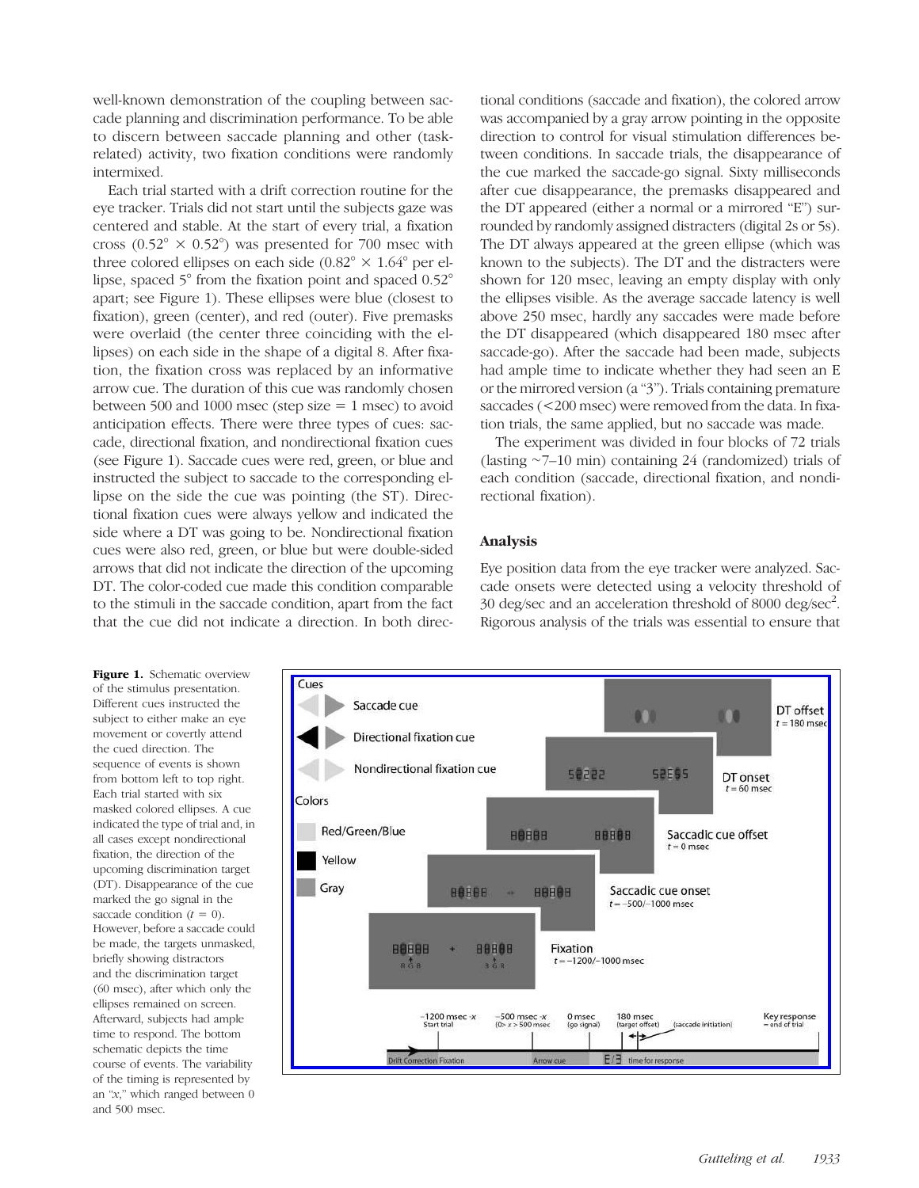well-known demonstration of the coupling between saccade planning and discrimination performance. To be able to discern between saccade planning and other (taskrelated) activity, two fixation conditions were randomly intermixed.

Each trial started with a drift correction routine for the eye tracker. Trials did not start until the subjects gaze was centered and stable. At the start of every trial, a fixation cross ( $0.52^{\circ} \times 0.52^{\circ}$ ) was presented for 700 msec with three colored ellipses on each side  $(0.82^\circ \times 1.64^\circ)$  per ellipse, spaced 5° from the fixation point and spaced 0.52° apart; see Figure 1). These ellipses were blue (closest to fixation), green (center), and red (outer). Five premasks were overlaid (the center three coinciding with the ellipses) on each side in the shape of a digital 8. After fixation, the fixation cross was replaced by an informative arrow cue. The duration of this cue was randomly chosen between 500 and 1000 msec (step size  $= 1$  msec) to avoid anticipation effects. There were three types of cues: saccade, directional fixation, and nondirectional fixation cues (see Figure 1). Saccade cues were red, green, or blue and instructed the subject to saccade to the corresponding ellipse on the side the cue was pointing (the ST). Directional fixation cues were always yellow and indicated the side where a DT was going to be. Nondirectional fixation cues were also red, green, or blue but were double-sided arrows that did not indicate the direction of the upcoming DT. The color-coded cue made this condition comparable to the stimuli in the saccade condition, apart from the fact that the cue did not indicate a direction. In both direc-

tional conditions (saccade and fixation), the colored arrow was accompanied by a gray arrow pointing in the opposite direction to control for visual stimulation differences between conditions. In saccade trials, the disappearance of the cue marked the saccade-go signal. Sixty milliseconds after cue disappearance, the premasks disappeared and the DT appeared (either a normal or a mirrored "E") surrounded by randomly assigned distracters (digital 2s or 5s). The DT always appeared at the green ellipse (which was known to the subjects). The DT and the distracters were shown for 120 msec, leaving an empty display with only the ellipses visible. As the average saccade latency is well above 250 msec, hardly any saccades were made before the DT disappeared (which disappeared 180 msec after saccade-go). After the saccade had been made, subjects had ample time to indicate whether they had seen an E or the mirrored version (a "3"). Trials containing premature saccades (<200 msec) were removed from the data. In fixation trials, the same applied, but no saccade was made.

The experiment was divided in four blocks of 72 trials (lasting ∼7–10 min) containing 24 (randomized) trials of each condition (saccade, directional fixation, and nondirectional fixation).

#### Analysis

Eye position data from the eye tracker were analyzed. Saccade onsets were detected using a velocity threshold of 30 deg/sec and an acceleration threshold of 8000 deg/sec<sup>2</sup>. Rigorous analysis of the trials was essential to ensure that

Figure 1. Schematic overview of the stimulus presentation. Different cues instructed the subject to either make an eye movement or covertly attend the cued direction. The sequence of events is shown from bottom left to top right. Each trial started with six masked colored ellipses. A cue indicated the type of trial and, in all cases except nondirectional fixation, the direction of the upcoming discrimination target (DT). Disappearance of the cue marked the go signal in the saccade condition  $(t = 0)$ . However, before a saccade could be made, the targets unmasked, briefly showing distractors and the discrimination target (60 msec), after which only the ellipses remained on screen. Afterward, subjects had ample time to respond. The bottom schematic depicts the time course of events. The variability of the timing is represented by an "x," which ranged between 0 and 500 msec.

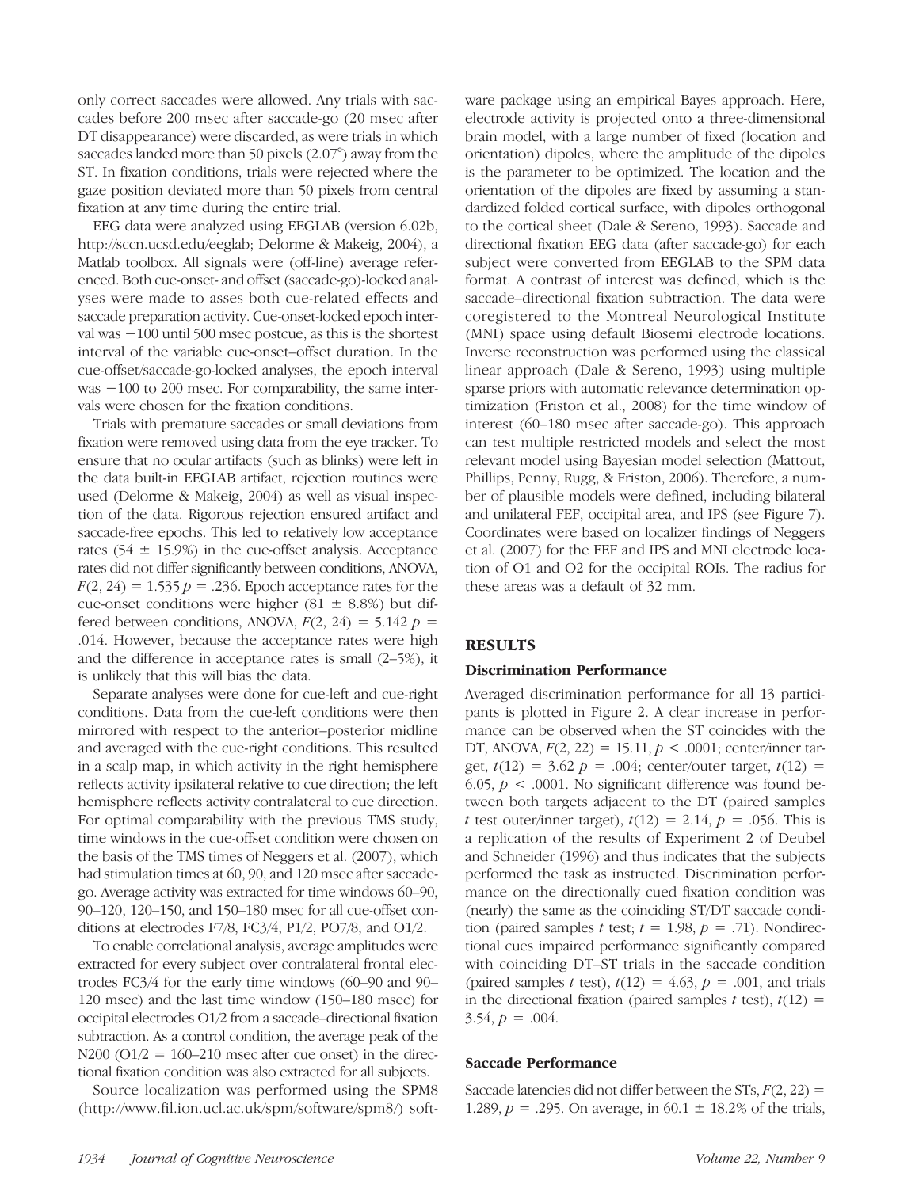only correct saccades were allowed. Any trials with saccades before 200 msec after saccade-go (20 msec after DT disappearance) were discarded, as were trials in which saccades landed more than 50 pixels (2.07°) away from the ST. In fixation conditions, trials were rejected where the gaze position deviated more than 50 pixels from central fixation at any time during the entire trial.

EEG data were analyzed using EEGLAB (version 6.02b, http://sccn.ucsd.edu/eeglab; Delorme & Makeig, 2004), a Matlab toolbox. All signals were (off-line) average referenced. Both cue-onset- and offset (saccade-go)-locked analyses were made to asses both cue-related effects and saccade preparation activity. Cue-onset-locked epoch interval was −100 until 500 msec postcue, as this is the shortest interval of the variable cue-onset–offset duration. In the cue-offset/saccade-go-locked analyses, the epoch interval was −100 to 200 msec. For comparability, the same intervals were chosen for the fixation conditions.

Trials with premature saccades or small deviations from fixation were removed using data from the eye tracker. To ensure that no ocular artifacts (such as blinks) were left in the data built-in EEGLAB artifact, rejection routines were used (Delorme & Makeig, 2004) as well as visual inspection of the data. Rigorous rejection ensured artifact and saccade-free epochs. This led to relatively low acceptance rates  $(54 \pm 15.9\%)$  in the cue-offset analysis. Acceptance rates did not differ significantly between conditions, ANOVA,  $F(2, 24) = 1.535 p = .236$ . Epoch acceptance rates for the cue-onset conditions were higher (81  $\pm$  8.8%) but differed between conditions, ANOVA,  $F(2, 24) = 5.142 p =$ .014. However, because the acceptance rates were high and the difference in acceptance rates is small (2–5%), it is unlikely that this will bias the data.

Separate analyses were done for cue-left and cue-right conditions. Data from the cue-left conditions were then mirrored with respect to the anterior–posterior midline and averaged with the cue-right conditions. This resulted in a scalp map, in which activity in the right hemisphere reflects activity ipsilateral relative to cue direction; the left hemisphere reflects activity contralateral to cue direction. For optimal comparability with the previous TMS study, time windows in the cue-offset condition were chosen on the basis of the TMS times of Neggers et al. (2007), which had stimulation times at 60, 90, and 120 msec after saccadego. Average activity was extracted for time windows 60–90, 90–120, 120–150, and 150–180 msec for all cue-offset conditions at electrodes F7/8, FC3/4, P1/2, PO7/8, and O1/2.

To enable correlational analysis, average amplitudes were extracted for every subject over contralateral frontal electrodes FC3/4 for the early time windows (60–90 and 90– 120 msec) and the last time window (150–180 msec) for occipital electrodes O1/2 from a saccade–directional fixation subtraction. As a control condition, the average peak of the  $N200$  ( $O1/2 = 160-210$  msec after cue onset) in the directional fixation condition was also extracted for all subjects.

Source localization was performed using the SPM8 (http://www.fil.ion.ucl.ac.uk/spm/software/spm8/) software package using an empirical Bayes approach. Here, electrode activity is projected onto a three-dimensional brain model, with a large number of fixed (location and orientation) dipoles, where the amplitude of the dipoles is the parameter to be optimized. The location and the orientation of the dipoles are fixed by assuming a standardized folded cortical surface, with dipoles orthogonal to the cortical sheet (Dale & Sereno, 1993). Saccade and directional fixation EEG data (after saccade-go) for each subject were converted from EEGLAB to the SPM data format. A contrast of interest was defined, which is the saccade–directional fixation subtraction. The data were coregistered to the Montreal Neurological Institute (MNI) space using default Biosemi electrode locations. Inverse reconstruction was performed using the classical linear approach (Dale & Sereno, 1993) using multiple sparse priors with automatic relevance determination optimization (Friston et al., 2008) for the time window of interest (60–180 msec after saccade-go). This approach can test multiple restricted models and select the most relevant model using Bayesian model selection (Mattout, Phillips, Penny, Rugg, & Friston, 2006). Therefore, a number of plausible models were defined, including bilateral and unilateral FEF, occipital area, and IPS (see Figure 7). Coordinates were based on localizer findings of Neggers et al. (2007) for the FEF and IPS and MNI electrode location of O1 and O2 for the occipital ROIs. The radius for these areas was a default of 32 mm.

# **RESULTS**

#### Discrimination Performance

Averaged discrimination performance for all 13 participants is plotted in Figure 2. A clear increase in performance can be observed when the ST coincides with the DT, ANOVA,  $F(2, 22) = 15.11$ ,  $p < .0001$ ; center/inner target,  $t(12) = 3.62$   $p = .004$ ; center/outer target,  $t(12) =$ 6.05,  $p < .0001$ . No significant difference was found between both targets adjacent to the DT (paired samples t test outer/inner target),  $t(12) = 2.14$ ,  $p = .056$ . This is a replication of the results of Experiment 2 of Deubel and Schneider (1996) and thus indicates that the subjects performed the task as instructed. Discrimination performance on the directionally cued fixation condition was (nearly) the same as the coinciding ST/DT saccade condition (paired samples t test;  $t = 1.98$ ,  $p = .71$ ). Nondirectional cues impaired performance significantly compared with coinciding DT–ST trials in the saccade condition (paired samples t test),  $t(12) = 4.63$ ,  $p = .001$ , and trials in the directional fixation (paired samples t test),  $t(12) =$  $3.54, p = .004$ .

# Saccade Performance

Saccade latencies did not differ between the  $STs, F(2, 22) =$ 1.289,  $p = 0.295$ . On average, in  $60.1 \pm 18.2\%$  of the trials,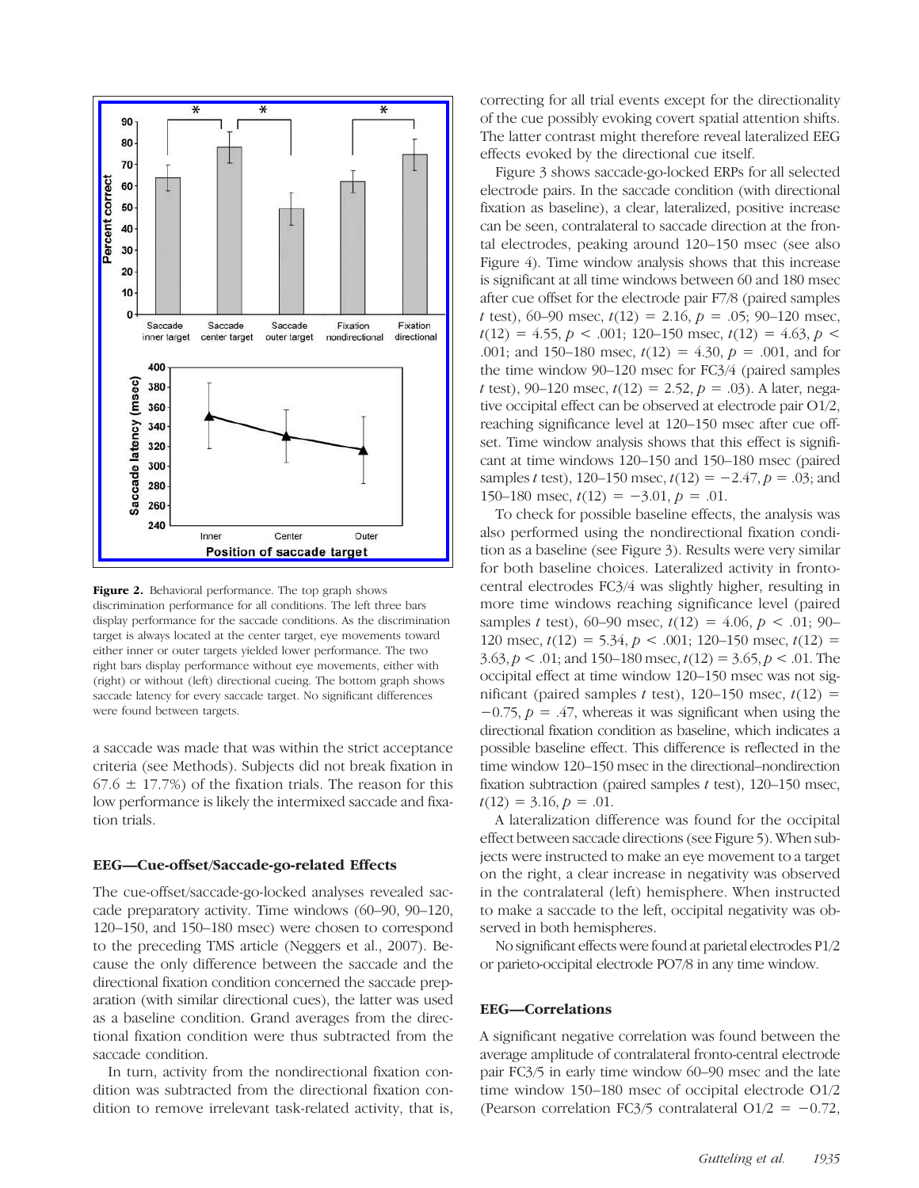

Figure 2. Behavioral performance. The top graph shows discrimination performance for all conditions. The left three bars display performance for the saccade conditions. As the discrimination target is always located at the center target, eye movements toward either inner or outer targets yielded lower performance. The two right bars display performance without eye movements, either with (right) or without (left) directional cueing. The bottom graph shows saccade latency for every saccade target. No significant differences were found between targets.

a saccade was made that was within the strict acceptance criteria (see Methods). Subjects did not break fixation in  $67.6 \pm 17.7$ %) of the fixation trials. The reason for this low performance is likely the intermixed saccade and fixation trials.

#### EEG—Cue-offset/Saccade-go-related Effects

The cue-offset/saccade-go-locked analyses revealed saccade preparatory activity. Time windows (60–90, 90–120, 120–150, and 150–180 msec) were chosen to correspond to the preceding TMS article (Neggers et al., 2007). Because the only difference between the saccade and the directional fixation condition concerned the saccade preparation (with similar directional cues), the latter was used as a baseline condition. Grand averages from the directional fixation condition were thus subtracted from the saccade condition.

In turn, activity from the nondirectional fixation condition was subtracted from the directional fixation condition to remove irrelevant task-related activity, that is,

correcting for all trial events except for the directionality of the cue possibly evoking covert spatial attention shifts. The latter contrast might therefore reveal lateralized EEG effects evoked by the directional cue itself.

Figure 3 shows saccade-go-locked ERPs for all selected electrode pairs. In the saccade condition (with directional fixation as baseline), a clear, lateralized, positive increase can be seen, contralateral to saccade direction at the frontal electrodes, peaking around 120–150 msec (see also Figure 4). Time window analysis shows that this increase is significant at all time windows between 60 and 180 msec after cue offset for the electrode pair F7/8 (paired samples t test), 60–90 msec,  $t(12) = 2.16$ ,  $p = .05$ ; 90–120 msec,  $t(12) = 4.55$ ,  $p < .001$ ; 120-150 msec,  $t(12) = 4.63$ ,  $p <$ .001; and 150–180 msec,  $t(12) = 4.30$ ,  $p = .001$ , and for the time window 90–120 msec for FC3/4 (paired samples t test), 90–120 msec,  $t(12) = 2.52$ ,  $p = .03$ ). A later, negative occipital effect can be observed at electrode pair O1/2, reaching significance level at 120–150 msec after cue offset. Time window analysis shows that this effect is significant at time windows 120–150 and 150–180 msec (paired samples t test), 120–150 msec,  $t(12) = -2.47$ ,  $p = .03$ ; and 150–180 msec,  $t(12) = -3.01$ ,  $p = .01$ .

To check for possible baseline effects, the analysis was also performed using the nondirectional fixation condition as a baseline (see Figure 3). Results were very similar for both baseline choices. Lateralized activity in frontocentral electrodes FC3/4 was slightly higher, resulting in more time windows reaching significance level (paired samples t test), 60–90 msec,  $t(12) = 4.06$ ,  $p < .01$ ; 90– 120 msec,  $t(12) = 5.34, p < .001$ ; 120-150 msec,  $t(12) =$  $3.63, p < .01$ ; and  $150-180$  msec,  $t(12) = 3.65, p < .01$ . The occipital effect at time window 120–150 msec was not significant (paired samples t test),  $120-150$  msec,  $t(12)$  =  $-0.75$ ,  $p = .47$ , whereas it was significant when using the directional fixation condition as baseline, which indicates a possible baseline effect. This difference is reflected in the time window 120–150 msec in the directional–nondirection fixation subtraction (paired samples  $t$  test), 120–150 msec,  $t(12) = 3.16, p = .01.$ 

A lateralization difference was found for the occipital effect between saccade directions (see Figure 5). When subjects were instructed to make an eye movement to a target on the right, a clear increase in negativity was observed in the contralateral (left) hemisphere. When instructed to make a saccade to the left, occipital negativity was observed in both hemispheres.

No significant effects were found at parietal electrodes P1/2 or parieto-occipital electrode PO7/8 in any time window.

#### EEG—Correlations

A significant negative correlation was found between the average amplitude of contralateral fronto-central electrode pair FC3/5 in early time window 60–90 msec and the late time window 150–180 msec of occipital electrode O1/2 (Pearson correlation FC3/5 contralateral O1/2 =  $-0.72$ ,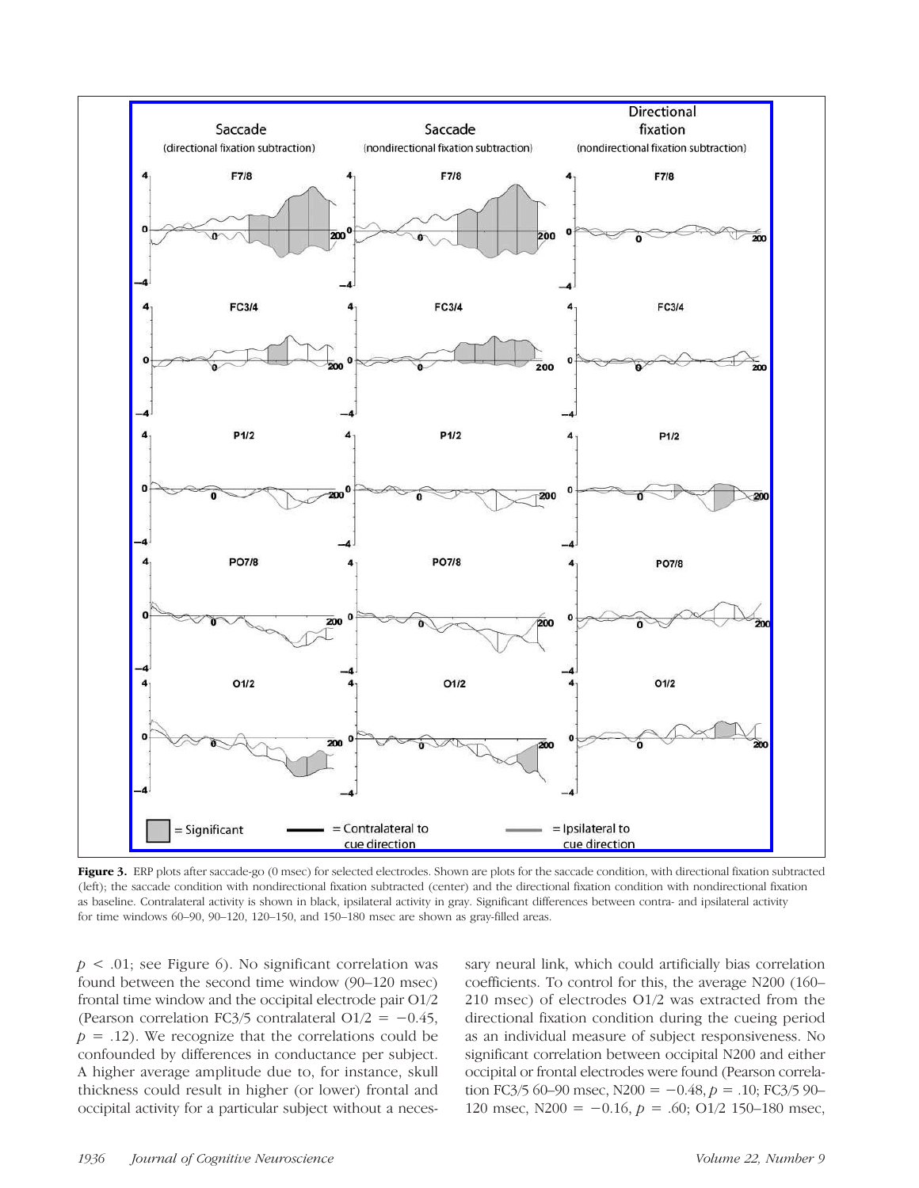

Figure 3. ERP plots after saccade-go (0 msec) for selected electrodes. Shown are plots for the saccade condition, with directional fixation subtracted (left); the saccade condition with nondirectional fixation subtracted (center) and the directional fixation condition with nondirectional fixation as baseline. Contralateral activity is shown in black, ipsilateral activity in gray. Significant differences between contra- and ipsilateral activity for time windows 60–90, 90–120, 120–150, and 150–180 msec are shown as gray-filled areas.

 $p < .01$ ; see Figure 6). No significant correlation was found between the second time window (90–120 msec) frontal time window and the occipital electrode pair O1/2 (Pearson correlation FC3/5 contralateral O1/2 =  $-0.45$ ,  $p = .12$ ). We recognize that the correlations could be confounded by differences in conductance per subject. A higher average amplitude due to, for instance, skull thickness could result in higher (or lower) frontal and occipital activity for a particular subject without a necessary neural link, which could artificially bias correlation coefficients. To control for this, the average N200 (160– 210 msec) of electrodes O1/2 was extracted from the directional fixation condition during the cueing period as an individual measure of subject responsiveness. No significant correlation between occipital N200 and either occipital or frontal electrodes were found (Pearson correlation FC3/5 60–90 msec, N200 =  $-0.48$ ,  $p = .10$ ; FC3/5 90– 120 msec,  $N200 = -0.16$ ,  $p = .60$ ;  $O1/2$  150–180 msec,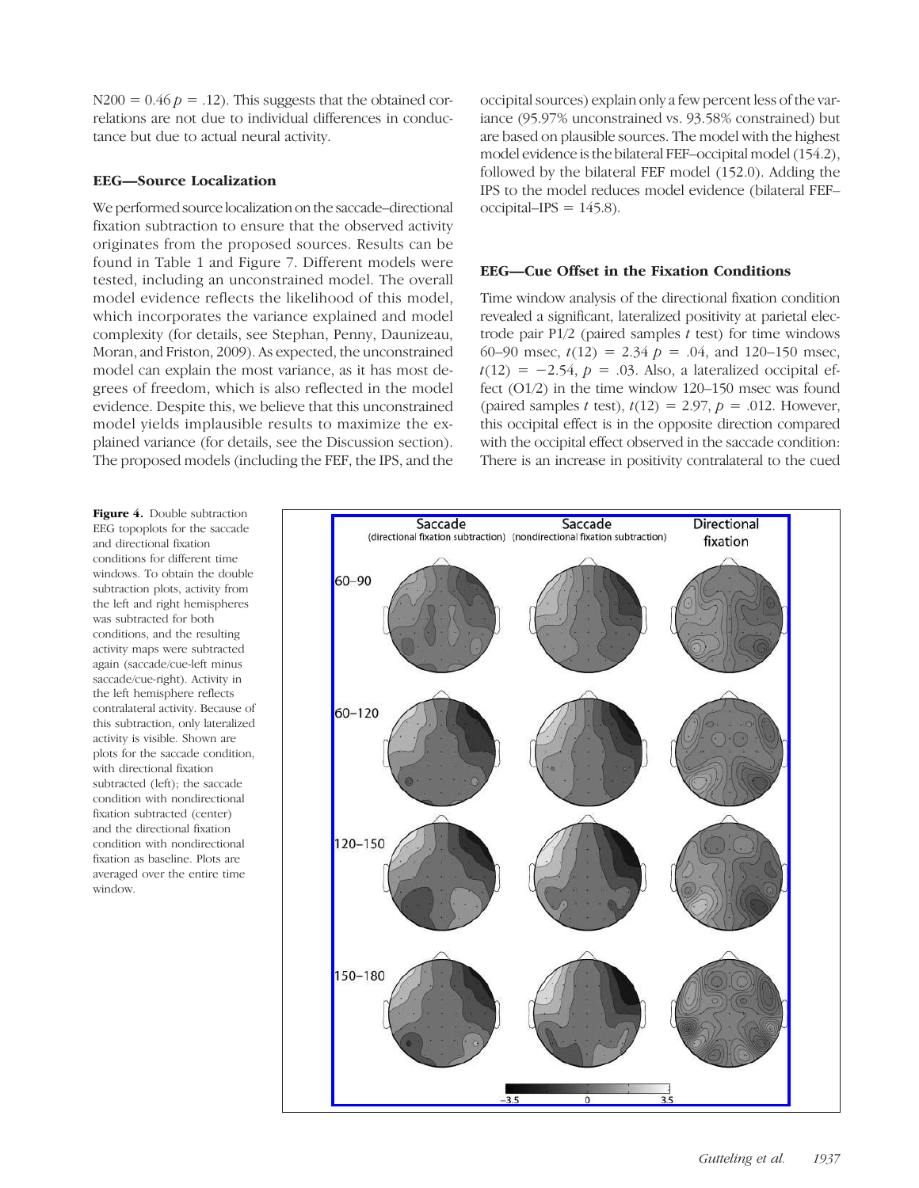$N200 = 0.46 p = .12$ . This suggests that the obtained correlations are not due to individual differences in conductance but due to actual neural activity.

#### EEG—Source Localization

We performed source localization on the saccade–directional fixation subtraction to ensure that the observed activity originates from the proposed sources. Results can be found in Table 1 and Figure 7. Different models were tested, including an unconstrained model. The overall model evidence reflects the likelihood of this model, which incorporates the variance explained and model complexity (for details, see Stephan, Penny, Daunizeau, Moran, and Friston, 2009). As expected, the unconstrained model can explain the most variance, as it has most degrees of freedom, which is also reflected in the model evidence. Despite this, we believe that this unconstrained model yields implausible results to maximize the explained variance (for details, see the Discussion section). The proposed models (including the FEF, the IPS, and the

occipital sources) explain only a few percent less of the variance (95.97% unconstrained vs. 93.58% constrained) but are based on plausible sources. The model with the highest model evidence is the bilateral FEF–occipital model (154.2), followed by the bilateral FEF model (152.0). Adding the IPS to the model reduces model evidence (bilateral FEF– occipital–IPS =  $145.8$ ).

#### EEG—Cue Offset in the Fixation Conditions

Time window analysis of the directional fixation condition revealed a significant, lateralized positivity at parietal electrode pair  $P1/2$  (paired samples t test) for time windows 60–90 msec,  $t(12) = 2.34$   $p = .04$ , and 120–150 msec,  $t(12) = -2.54$ ,  $p = .03$ . Also, a lateralized occipital effect (O1/2) in the time window 120–150 msec was found (paired samples t test),  $t(12) = 2.97$ ,  $p = .012$ . However, this occipital effect is in the opposite direction compared with the occipital effect observed in the saccade condition: There is an increase in positivity contralateral to the cued

Figure 4. Double subtraction EEG topoplots for the saccade and directional fixation conditions for different time windows. To obtain the double subtraction plots, activity from the left and right hemispheres was subtracted for both conditions, and the resulting activity maps were subtracted again (saccade/cue-left minus saccade/cue-right). Activity in the left hemisphere reflects contralateral activity. Because of this subtraction, only lateralized activity is visible. Shown are plots for the saccade condition, with directional fixation subtracted (left); the saccade condition with nondirectional fixation subtracted (center) and the directional fixation condition with nondirectional fixation as baseline. Plots are averaged over the entire time window.

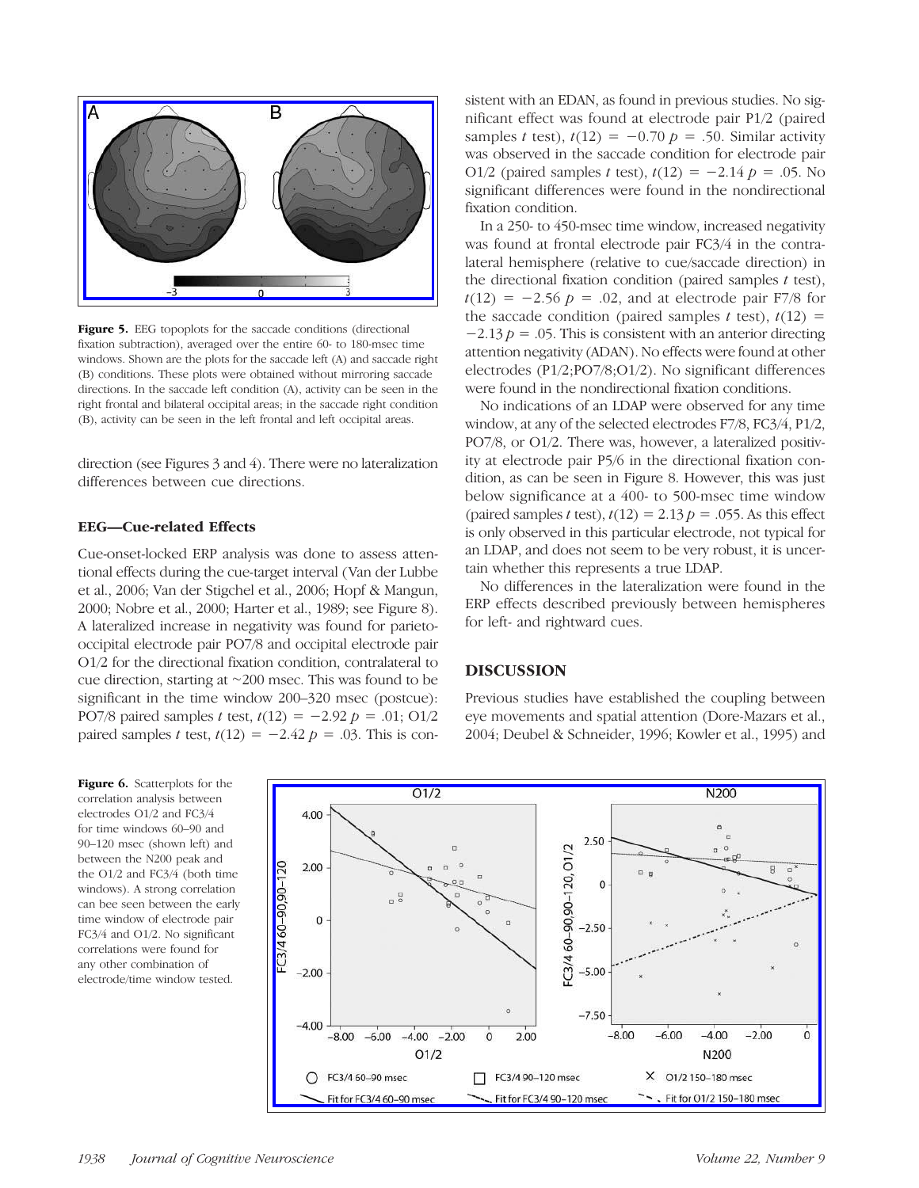

Figure 5. EEG topoplots for the saccade conditions (directional fixation subtraction), averaged over the entire 60- to 180-msec time windows. Shown are the plots for the saccade left (A) and saccade right (B) conditions. These plots were obtained without mirroring saccade directions. In the saccade left condition (A), activity can be seen in the right frontal and bilateral occipital areas; in the saccade right condition (B), activity can be seen in the left frontal and left occipital areas.

direction (see Figures 3 and 4). There were no lateralization differences between cue directions.

#### EEG—Cue-related Effects

Cue-onset-locked ERP analysis was done to assess attentional effects during the cue-target interval (Van der Lubbe et al., 2006; Van der Stigchel et al., 2006; Hopf & Mangun, 2000; Nobre et al., 2000; Harter et al., 1989; see Figure 8). A lateralized increase in negativity was found for parietooccipital electrode pair PO7/8 and occipital electrode pair O1/2 for the directional fixation condition, contralateral to cue direction, starting at ∼200 msec. This was found to be significant in the time window 200–320 msec (postcue): PO7/8 paired samples t test,  $t(12) = -2.92 p = .01; 01/2$ paired samples t test,  $t(12) = -2.42 p = .03$ . This is con-

Figure 6. Scatterplots for the correlation analysis between electrodes O1/2 and FC3/4 for time windows 60–90 and 90–120 msec (shown left) and between the N200 peak and the O1/2 and FC3/4 (both time windows). A strong correlation can bee seen between the early time window of electrode pair FC3/4 and O1/2. No significant correlations were found for any other combination of electrode/time window tested.

sistent with an EDAN, as found in previous studies. No significant effect was found at electrode pair P1/2 (paired samples t test),  $t(12) = -0.70$  p = .50. Similar activity was observed in the saccade condition for electrode pair O1/2 (paired samples t test),  $t(12) = -2.14 p = .05$ . No significant differences were found in the nondirectional fixation condition.

In a 250- to 450-msec time window, increased negativity was found at frontal electrode pair FC3/4 in the contralateral hemisphere (relative to cue/saccade direction) in the directional fixation condition (paired samples  $t$  test),  $t(12) = -2.56$   $p = .02$ , and at electrode pair F7/8 for the saccade condition (paired samples t test),  $t(12)$  =  $-2.13 p = .05$ . This is consistent with an anterior directing attention negativity (ADAN). No effects were found at other electrodes (P1/2;PO7/8;O1/2). No significant differences were found in the nondirectional fixation conditions.

No indications of an LDAP were observed for any time window, at any of the selected electrodes F7/8, FC3/4, P1/2, PO7/8, or O1/2. There was, however, a lateralized positivity at electrode pair P5/6 in the directional fixation condition, as can be seen in Figure 8. However, this was just below significance at a 400- to 500-msec time window (paired samples t test),  $t(12) = 2.13$   $p = .055$ . As this effect is only observed in this particular electrode, not typical for an LDAP, and does not seem to be very robust, it is uncertain whether this represents a true LDAP.

No differences in the lateralization were found in the ERP effects described previously between hemispheres for left- and rightward cues.

#### DISCUSSION

Previous studies have established the coupling between eye movements and spatial attention (Dore-Mazars et al., 2004; Deubel & Schneider, 1996; Kowler et al., 1995) and

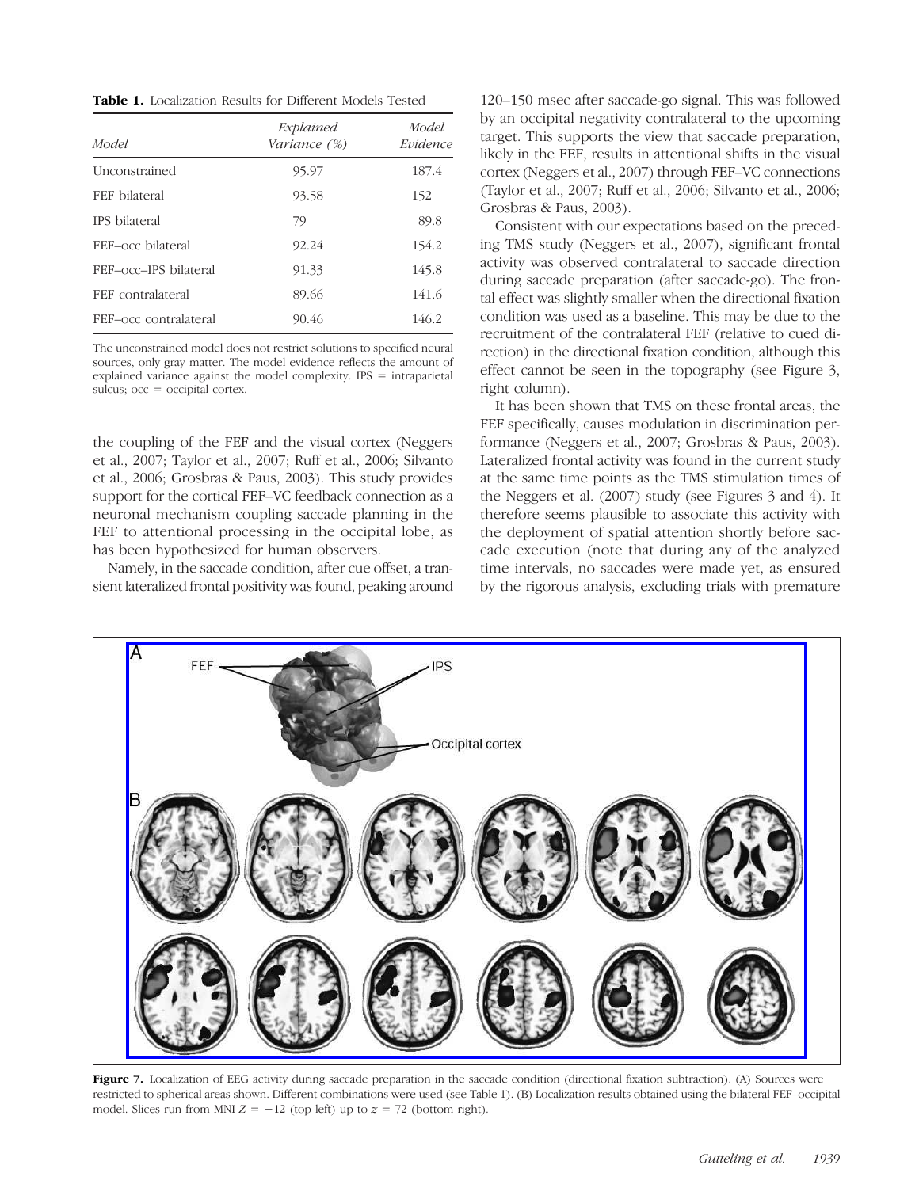Table 1. Localization Results for Different Models Tested

| Model                 | Explained<br>Variance (%) | Model<br>Evidence |
|-----------------------|---------------------------|-------------------|
| Unconstrained         | 95.97                     | 187.4             |
| FEF bilateral         | 93.58                     | 152               |
| IPS bilateral         | 79                        | 89.8              |
| FEF-occ bilateral     | 92.24                     | 154.2             |
| FEF-occ-IPS bilateral | 91.33                     | 145.8             |
| FEF contralateral     | 89.66                     | 141.6             |
| FEF-occ contralateral | 90.46                     | 146.2             |

The unconstrained model does not restrict solutions to specified neural sources, only gray matter. The model evidence reflects the amount of explained variance against the model complexity. IPS = intraparietal sulcus; occ = occipital cortex.

the coupling of the FEF and the visual cortex (Neggers et al., 2007; Taylor et al., 2007; Ruff et al., 2006; Silvanto et al., 2006; Grosbras & Paus, 2003). This study provides support for the cortical FEF–VC feedback connection as a neuronal mechanism coupling saccade planning in the FEF to attentional processing in the occipital lobe, as has been hypothesized for human observers.

Namely, in the saccade condition, after cue offset, a transient lateralized frontal positivity was found, peaking around

120–150 msec after saccade-go signal. This was followed by an occipital negativity contralateral to the upcoming target. This supports the view that saccade preparation, likely in the FEF, results in attentional shifts in the visual cortex (Neggers et al., 2007) through FEF–VC connections (Taylor et al., 2007; Ruff et al., 2006; Silvanto et al., 2006; Grosbras & Paus, 2003).

Consistent with our expectations based on the preceding TMS study (Neggers et al., 2007), significant frontal activity was observed contralateral to saccade direction during saccade preparation (after saccade-go). The frontal effect was slightly smaller when the directional fixation condition was used as a baseline. This may be due to the recruitment of the contralateral FEF (relative to cued direction) in the directional fixation condition, although this effect cannot be seen in the topography (see Figure 3, right column).

It has been shown that TMS on these frontal areas, the FEF specifically, causes modulation in discrimination performance (Neggers et al., 2007; Grosbras & Paus, 2003). Lateralized frontal activity was found in the current study at the same time points as the TMS stimulation times of the Neggers et al. (2007) study (see Figures 3 and 4). It therefore seems plausible to associate this activity with the deployment of spatial attention shortly before saccade execution (note that during any of the analyzed time intervals, no saccades were made yet, as ensured by the rigorous analysis, excluding trials with premature



Figure 7. Localization of EEG activity during saccade preparation in the saccade condition (directional fixation subtraction). (A) Sources were restricted to spherical areas shown. Different combinations were used (see Table 1). (B) Localization results obtained using the bilateral FEF–occipital model. Slices run from MNI  $Z = -12$  (top left) up to  $z = 72$  (bottom right).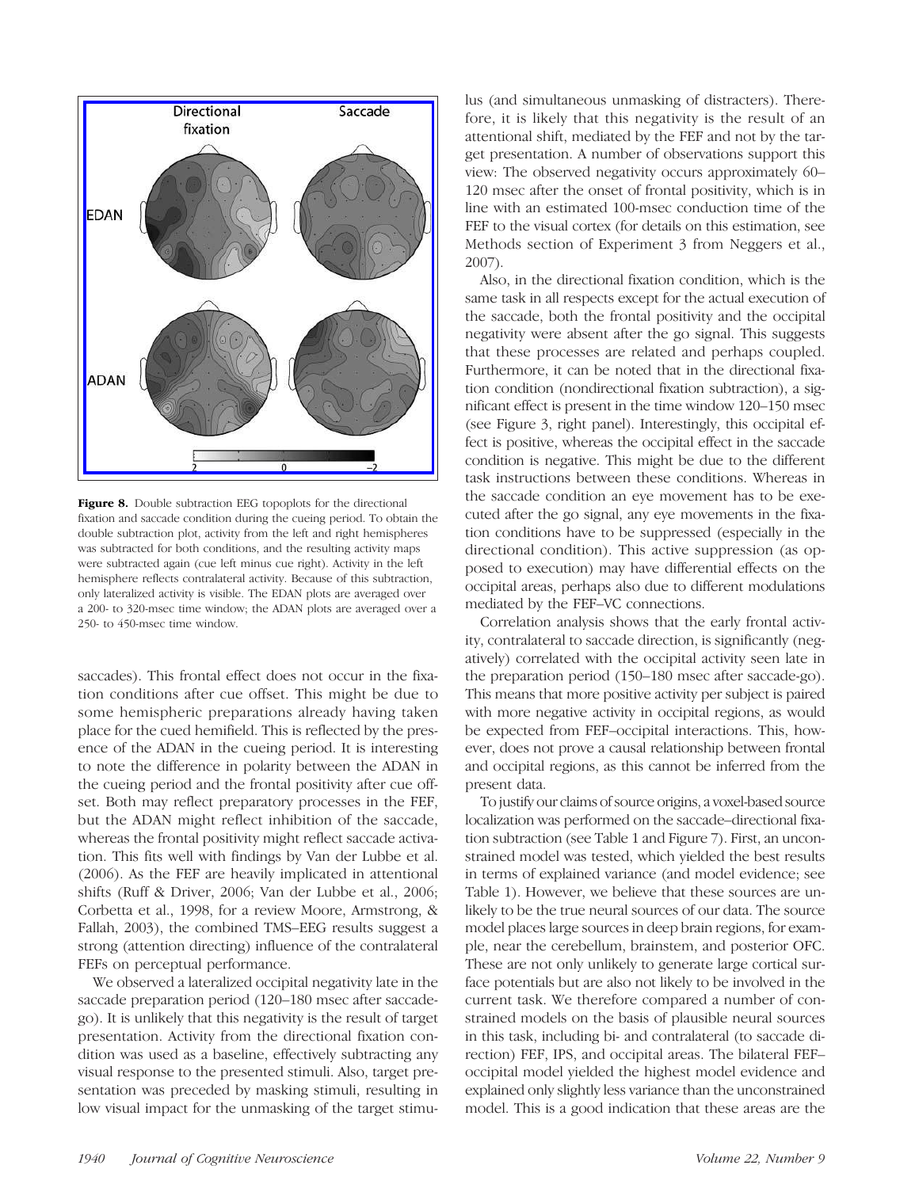

Figure 8. Double subtraction EEG topoplots for the directional fixation and saccade condition during the cueing period. To obtain the double subtraction plot, activity from the left and right hemispheres was subtracted for both conditions, and the resulting activity maps were subtracted again (cue left minus cue right). Activity in the left hemisphere reflects contralateral activity. Because of this subtraction, only lateralized activity is visible. The EDAN plots are averaged over a 200- to 320-msec time window; the ADAN plots are averaged over a 250- to 450-msec time window.

saccades). This frontal effect does not occur in the fixation conditions after cue offset. This might be due to some hemispheric preparations already having taken place for the cued hemifield. This is reflected by the presence of the ADAN in the cueing period. It is interesting to note the difference in polarity between the ADAN in the cueing period and the frontal positivity after cue offset. Both may reflect preparatory processes in the FEF, but the ADAN might reflect inhibition of the saccade, whereas the frontal positivity might reflect saccade activation. This fits well with findings by Van der Lubbe et al. (2006). As the FEF are heavily implicated in attentional shifts (Ruff & Driver, 2006; Van der Lubbe et al., 2006; Corbetta et al., 1998, for a review Moore, Armstrong, & Fallah, 2003), the combined TMS–EEG results suggest a strong (attention directing) influence of the contralateral FEFs on perceptual performance.

We observed a lateralized occipital negativity late in the saccade preparation period (120–180 msec after saccadego). It is unlikely that this negativity is the result of target presentation. Activity from the directional fixation condition was used as a baseline, effectively subtracting any visual response to the presented stimuli. Also, target presentation was preceded by masking stimuli, resulting in low visual impact for the unmasking of the target stimulus (and simultaneous unmasking of distracters). Therefore, it is likely that this negativity is the result of an attentional shift, mediated by the FEF and not by the target presentation. A number of observations support this view: The observed negativity occurs approximately 60– 120 msec after the onset of frontal positivity, which is in line with an estimated 100-msec conduction time of the FEF to the visual cortex (for details on this estimation, see Methods section of Experiment 3 from Neggers et al., 2007).

Also, in the directional fixation condition, which is the same task in all respects except for the actual execution of the saccade, both the frontal positivity and the occipital negativity were absent after the go signal. This suggests that these processes are related and perhaps coupled. Furthermore, it can be noted that in the directional fixation condition (nondirectional fixation subtraction), a significant effect is present in the time window 120–150 msec (see Figure 3, right panel). Interestingly, this occipital effect is positive, whereas the occipital effect in the saccade condition is negative. This might be due to the different task instructions between these conditions. Whereas in the saccade condition an eye movement has to be executed after the go signal, any eye movements in the fixation conditions have to be suppressed (especially in the directional condition). This active suppression (as opposed to execution) may have differential effects on the occipital areas, perhaps also due to different modulations mediated by the FEF–VC connections.

Correlation analysis shows that the early frontal activity, contralateral to saccade direction, is significantly (negatively) correlated with the occipital activity seen late in the preparation period (150–180 msec after saccade-go). This means that more positive activity per subject is paired with more negative activity in occipital regions, as would be expected from FEF–occipital interactions. This, however, does not prove a causal relationship between frontal and occipital regions, as this cannot be inferred from the present data.

To justify our claims of source origins, a voxel-based source localization was performed on the saccade–directional fixation subtraction (see Table 1 and Figure 7). First, an unconstrained model was tested, which yielded the best results in terms of explained variance (and model evidence; see Table 1). However, we believe that these sources are unlikely to be the true neural sources of our data. The source model places large sources in deep brain regions, for example, near the cerebellum, brainstem, and posterior OFC. These are not only unlikely to generate large cortical surface potentials but are also not likely to be involved in the current task. We therefore compared a number of constrained models on the basis of plausible neural sources in this task, including bi- and contralateral (to saccade direction) FEF, IPS, and occipital areas. The bilateral FEF– occipital model yielded the highest model evidence and explained only slightly less variance than the unconstrained model. This is a good indication that these areas are the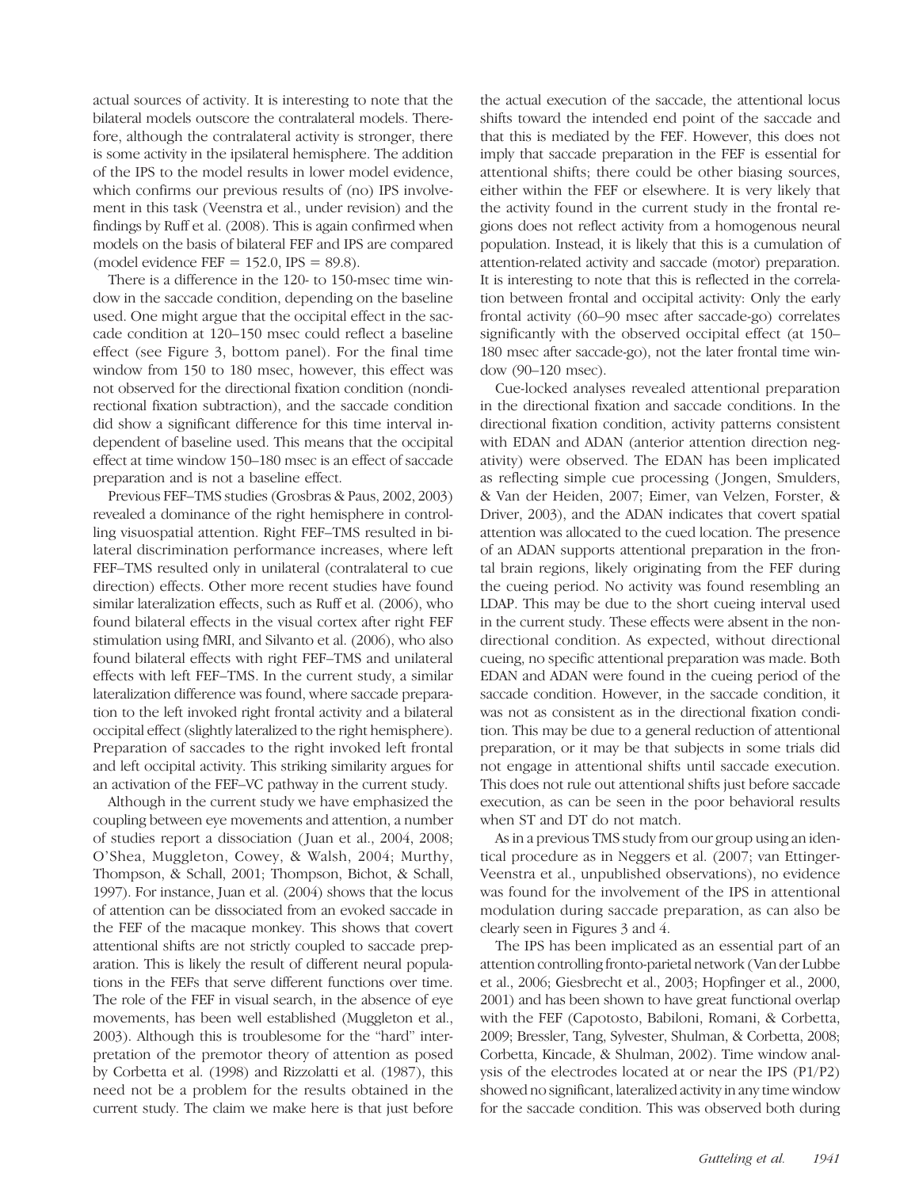actual sources of activity. It is interesting to note that the bilateral models outscore the contralateral models. Therefore, although the contralateral activity is stronger, there is some activity in the ipsilateral hemisphere. The addition of the IPS to the model results in lower model evidence, which confirms our previous results of (no) IPS involvement in this task (Veenstra et al., under revision) and the findings by Ruff et al. (2008). This is again confirmed when models on the basis of bilateral FEF and IPS are compared (model evidence  $FEF = 152.0$ ,  $IPS = 89.8$ ).

There is a difference in the 120- to 150-msec time window in the saccade condition, depending on the baseline used. One might argue that the occipital effect in the saccade condition at 120–150 msec could reflect a baseline effect (see Figure 3, bottom panel). For the final time window from 150 to 180 msec, however, this effect was not observed for the directional fixation condition (nondirectional fixation subtraction), and the saccade condition did show a significant difference for this time interval independent of baseline used. This means that the occipital effect at time window 150–180 msec is an effect of saccade preparation and is not a baseline effect.

Previous FEF–TMS studies (Grosbras & Paus, 2002, 2003) revealed a dominance of the right hemisphere in controlling visuospatial attention. Right FEF–TMS resulted in bilateral discrimination performance increases, where left FEF–TMS resulted only in unilateral (contralateral to cue direction) effects. Other more recent studies have found similar lateralization effects, such as Ruff et al. (2006), who found bilateral effects in the visual cortex after right FEF stimulation using fMRI, and Silvanto et al. (2006), who also found bilateral effects with right FEF–TMS and unilateral effects with left FEF–TMS. In the current study, a similar lateralization difference was found, where saccade preparation to the left invoked right frontal activity and a bilateral occipital effect (slightly lateralized to the right hemisphere). Preparation of saccades to the right invoked left frontal and left occipital activity. This striking similarity argues for an activation of the FEF–VC pathway in the current study.

Although in the current study we have emphasized the coupling between eye movements and attention, a number of studies report a dissociation ( Juan et al., 2004, 2008; O'Shea, Muggleton, Cowey, & Walsh, 2004; Murthy, Thompson, & Schall, 2001; Thompson, Bichot, & Schall, 1997). For instance, Juan et al. (2004) shows that the locus of attention can be dissociated from an evoked saccade in the FEF of the macaque monkey. This shows that covert attentional shifts are not strictly coupled to saccade preparation. This is likely the result of different neural populations in the FEFs that serve different functions over time. The role of the FEF in visual search, in the absence of eye movements, has been well established (Muggleton et al., 2003). Although this is troublesome for the "hard" interpretation of the premotor theory of attention as posed by Corbetta et al. (1998) and Rizzolatti et al. (1987), this need not be a problem for the results obtained in the current study. The claim we make here is that just before

the actual execution of the saccade, the attentional locus shifts toward the intended end point of the saccade and that this is mediated by the FEF. However, this does not imply that saccade preparation in the FEF is essential for attentional shifts; there could be other biasing sources, either within the FEF or elsewhere. It is very likely that the activity found in the current study in the frontal regions does not reflect activity from a homogenous neural population. Instead, it is likely that this is a cumulation of attention-related activity and saccade (motor) preparation. It is interesting to note that this is reflected in the correlation between frontal and occipital activity: Only the early frontal activity (60–90 msec after saccade-go) correlates significantly with the observed occipital effect (at 150– 180 msec after saccade-go), not the later frontal time window (90–120 msec).

Cue-locked analyses revealed attentional preparation in the directional fixation and saccade conditions. In the directional fixation condition, activity patterns consistent with EDAN and ADAN (anterior attention direction negativity) were observed. The EDAN has been implicated as reflecting simple cue processing ( Jongen, Smulders, & Van der Heiden, 2007; Eimer, van Velzen, Forster, & Driver, 2003), and the ADAN indicates that covert spatial attention was allocated to the cued location. The presence of an ADAN supports attentional preparation in the frontal brain regions, likely originating from the FEF during the cueing period. No activity was found resembling an LDAP. This may be due to the short cueing interval used in the current study. These effects were absent in the nondirectional condition. As expected, without directional cueing, no specific attentional preparation was made. Both EDAN and ADAN were found in the cueing period of the saccade condition. However, in the saccade condition, it was not as consistent as in the directional fixation condition. This may be due to a general reduction of attentional preparation, or it may be that subjects in some trials did not engage in attentional shifts until saccade execution. This does not rule out attentional shifts just before saccade execution, as can be seen in the poor behavioral results when ST and DT do not match.

As in a previous TMS study from our group using an identical procedure as in Neggers et al. (2007; van Ettinger-Veenstra et al., unpublished observations), no evidence was found for the involvement of the IPS in attentional modulation during saccade preparation, as can also be clearly seen in Figures 3 and 4.

The IPS has been implicated as an essential part of an attention controlling fronto-parietal network (Van der Lubbe et al., 2006; Giesbrecht et al., 2003; Hopfinger et al., 2000, 2001) and has been shown to have great functional overlap with the FEF (Capotosto, Babiloni, Romani, & Corbetta, 2009; Bressler, Tang, Sylvester, Shulman, & Corbetta, 2008; Corbetta, Kincade, & Shulman, 2002). Time window analysis of the electrodes located at or near the IPS (P1/P2) showed no significant, lateralized activity in any time window for the saccade condition. This was observed both during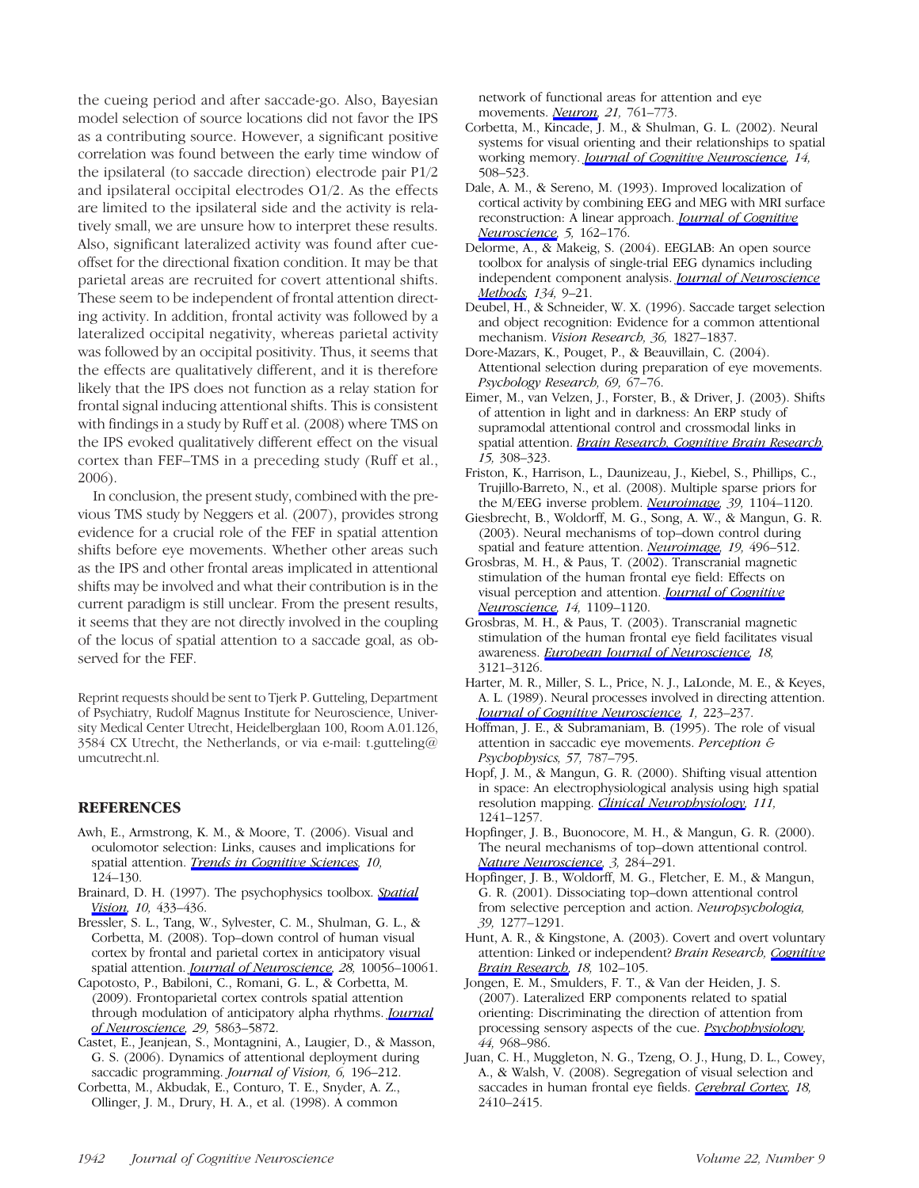the cueing period and after saccade-go. Also, Bayesian model selection of source locations did not favor the IPS as a contributing source. However, a significant positive correlation was found between the early time window of the ipsilateral (to saccade direction) electrode pair P1/2 and ipsilateral occipital electrodes O1/2. As the effects are limited to the ipsilateral side and the activity is relatively small, we are unsure how to interpret these results. Also, significant lateralized activity was found after cueoffset for the directional fixation condition. It may be that parietal areas are recruited for covert attentional shifts. These seem to be independent of frontal attention directing activity. In addition, frontal activity was followed by a lateralized occipital negativity, whereas parietal activity was followed by an occipital positivity. Thus, it seems that the effects are qualitatively different, and it is therefore likely that the IPS does not function as a relay station for frontal signal inducing attentional shifts. This is consistent with findings in a study by Ruff et al. (2008) where TMS on the IPS evoked qualitatively different effect on the visual cortex than FEF–TMS in a preceding study (Ruff et al., 2006).

In conclusion, the present study, combined with the previous TMS study by Neggers et al. (2007), provides strong evidence for a crucial role of the FEF in spatial attention shifts before eye movements. Whether other areas such as the IPS and other frontal areas implicated in attentional shifts may be involved and what their contribution is in the current paradigm is still unclear. From the present results, it seems that they are not directly involved in the coupling of the locus of spatial attention to a saccade goal, as observed for the FEF.

Reprint requests should be sent to Tjerk P. Gutteling, Department of Psychiatry, Rudolf Magnus Institute for Neuroscience, University Medical Center Utrecht, Heidelberglaan 100, Room A.01.126, 3584 CX Utrecht, the Netherlands, or via e-mail: t.gutteling@ umcutrecht.nl.

#### REFERENCES

- Awh, E., Armstrong, K. M., & Moore, T. (2006). Visual and oculomotor selection: Links, causes and implications for spatial attention. [Trends in Cognitive Sciences,](http://www.mitpressjournals.org/action/showLinks?crossref=10.1016%2Fj.tics.2006.01.001) 10, 124–130.
- Brainard, D. H. (1997). The psychophysics toolbox. [Spatial](http://www.mitpressjournals.org/action/showLinks?crossref=10.1163%2F156856897X00357) [Vision,](http://www.mitpressjournals.org/action/showLinks?crossref=10.1163%2F156856897X00357) 10, 433-436.
- Bressler, S. L., Tang, W., Sylvester, C. M., Shulman, G. L., & Corbetta, M. (2008). Top–down control of human visual cortex by frontal and parietal cortex in anticipatory visual spatial attention. [Journal of Neuroscience](http://www.mitpressjournals.org/action/showLinks?crossref=10.1523%2FJNEUROSCI.1776-08.2008), 28, 10056-10061.
- Capotosto, P., Babiloni, C., Romani, G. L., & Corbetta, M. (2009). Frontoparietal cortex controls spatial attention through modulation of anticipatory alpha rhythms. *[Journal](http://www.mitpressjournals.org/action/showLinks?crossref=10.1523%2FJNEUROSCI.0539-09.2009)* [of Neuroscience,](http://www.mitpressjournals.org/action/showLinks?crossref=10.1523%2FJNEUROSCI.0539-09.2009) 29, 5863-5872.
- Castet, E., Jeanjean, S., Montagnini, A., Laugier, D., & Masson, G. S. (2006). Dynamics of attentional deployment during saccadic programming. Journal of Vision, 6, 196-212.
- Corbetta, M., Akbudak, E., Conturo, T. E., Snyder, A. Z., Ollinger, J. M., Drury, H. A., et al. (1998). A common

network of functional areas for attention and eye movements. *[Neuron](http://www.mitpressjournals.org/action/showLinks?crossref=10.1016%2FS0896-6273%2800%2980593-0)*, 21, 761-773.

- Corbetta, M., Kincade, J. M., & Shulman, G. L. (2002). Neural systems for visual orienting and their relationships to spatial working memory. *[Journal of Cognitive Neuroscience](http://www.mitpressjournals.org/action/showLinks?system=10.1162%2F089892902317362029)*, 14, 508–523.
- Dale, A. M., & Sereno, M. (1993). Improved localization of cortical activity by combining EEG and MEG with MRI surface reconstruction: A linear approach. [Journal of Cognitive](http://www.mitpressjournals.org/action/showLinks?system=10.1162%2Fjocn.1993.5.2.162) [Neuroscience](http://www.mitpressjournals.org/action/showLinks?system=10.1162%2Fjocn.1993.5.2.162), 5, 162–176.
- Delorme, A., & Makeig, S. (2004). EEGLAB: An open source toolbox for analysis of single-trial EEG dynamics including independent component analysis. [Journal of Neuroscience](http://www.mitpressjournals.org/action/showLinks?crossref=10.1016%2Fj.jneumeth.2003.10.009) [Methods,](http://www.mitpressjournals.org/action/showLinks?crossref=10.1016%2Fj.jneumeth.2003.10.009) 134, 9–21.
- Deubel, H., & Schneider, W. X. (1996). Saccade target selection and object recognition: Evidence for a common attentional mechanism. Vision Research, 36, 1827–1837.
- Dore-Mazars, K., Pouget, P., & Beauvillain, C. (2004). Attentional selection during preparation of eye movements. Psychology Research, 69, 67–76.
- Eimer, M., van Velzen, J., Forster, B., & Driver, J. (2003). Shifts of attention in light and in darkness: An ERP study of supramodal attentional control and crossmodal links in spatial attention. [Brain Research, Cognitive Brain Research,](http://www.mitpressjournals.org/action/showLinks?crossref=10.1016%2FS0926-6410%2802%2900203-3) 15, 308–323.
- Friston, K., Harrison, L., Daunizeau, J., Kiebel, S., Phillips, C., Trujillo-Barreto, N., et al. (2008). Multiple sparse priors for the M/EEG inverse problem. [Neuroimage,](http://www.mitpressjournals.org/action/showLinks?crossref=10.1016%2Fj.neuroimage.2007.09.048) 39, 1104-1120.
- Giesbrecht, B., Woldorff, M. G., Song, A. W., & Mangun, G. R. (2003). Neural mechanisms of top–down control during spatial and feature attention. *Neuroimage*, 19, 496-512.
- Grosbras, M. H., & Paus, T. (2002). Transcranial magnetic stimulation of the human frontal eye field: Effects on visual perception and attention. [Journal of Cognitive](http://www.mitpressjournals.org/action/showLinks?system=10.1162%2F089892902320474553) [Neuroscience](http://www.mitpressjournals.org/action/showLinks?system=10.1162%2F089892902320474553), 14, 1109-1120.
- Grosbras, M. H., & Paus, T. (2003). Transcranial magnetic stimulation of the human frontal eye field facilitates visual awareness. [European Journal of Neuroscience,](http://www.mitpressjournals.org/action/showLinks?crossref=10.1111%2Fj.1460-9568.2003.03055.x) 18, 3121–3126.
- Harter, M. R., Miller, S. L., Price, N. J., LaLonde, M. E., & Keyes, A. L. (1989). Neural processes involved in directing attention. [Journal of Cognitive Neuroscience,](http://www.mitpressjournals.org/action/showLinks?system=10.1162%2Fjocn.1989.1.3.223) 1, 223–237.
- Hoffman, J. E., & Subramaniam, B. (1995). The role of visual attention in saccadic eye movements. Perception & Psychophysics, 57, 787–795.
- Hopf, J. M., & Mangun, G. R. (2000). Shifting visual attention in space: An electrophysiological analysis using high spatial resolution mapping. *Clinical Neurophysiology*, 111, 1241–1257.
- Hopfinger, J. B., Buonocore, M. H., & Mangun, G. R. (2000). The neural mechanisms of top–down attentional control. [Nature Neuroscience,](http://www.mitpressjournals.org/action/showLinks?crossref=10.1038%2F72999) 3, 284-291.
- Hopfinger, J. B., Woldorff, M. G., Fletcher, E. M., & Mangun, G. R. (2001). Dissociating top–down attentional control from selective perception and action. Neuropsychologia, 39, 1277–1291.
- Hunt, A. R., & Kingstone, A. (2003). Covert and overt voluntary attention: Linked or independent? Brain Research, [Cognitive](http://www.mitpressjournals.org/action/showLinks?crossref=10.1016%2Fj.cogbrainres.2003.08.006) [Brain Research,](http://www.mitpressjournals.org/action/showLinks?crossref=10.1016%2Fj.cogbrainres.2003.08.006) 18, 102-105.
- Jongen, E. M., Smulders, F. T., & Van der Heiden, J. S. (2007). Lateralized ERP components related to spatial orienting: Discriminating the direction of attention from processing sensory aspects of the cue. **Psychophysiology**, 44, 968–986.
- Juan, C. H., Muggleton, N. G., Tzeng, O. J., Hung, D. L., Cowey, A., & Walsh, V. (2008). Segregation of visual selection and saccades in human frontal eye fields. [Cerebral Cortex,](http://www.mitpressjournals.org/action/showLinks?crossref=10.1093%2Fcercor%2Fbhn001) 18, 2410–2415.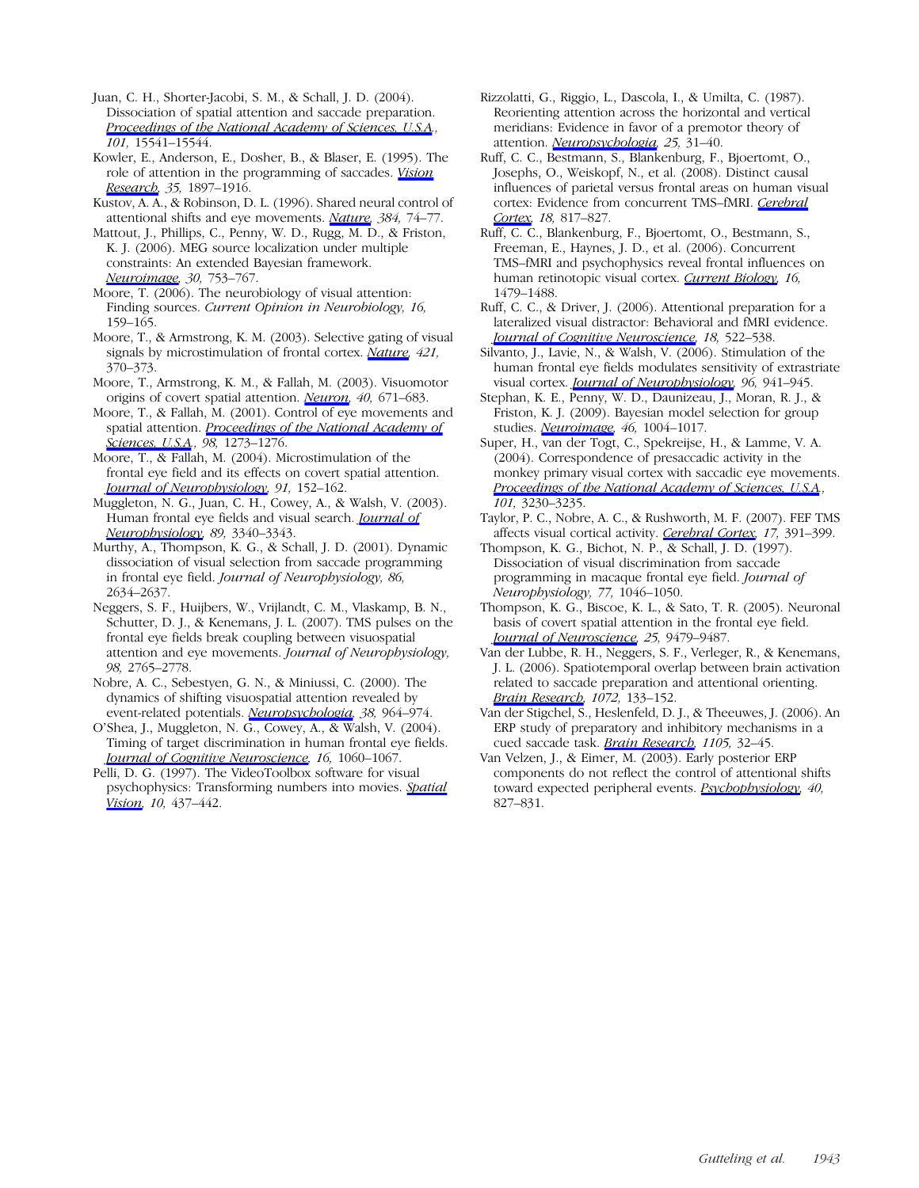Juan, C. H., Shorter-Jacobi, S. M., & Schall, J. D. (2004). Dissociation of spatial attention and saccade preparation. [Proceedings of the National Academy of Sciences, U.S.A](http://www.mitpressjournals.org/action/showLinks?crossref=10.1073%2Fpnas.0403507101)., 101, 15541–15544.

Kowler, E., Anderson, E., Dosher, B., & Blaser, E. (1995). The role of attention in the programming of saccades. [Vision](http://www.mitpressjournals.org/action/showLinks?crossref=10.1016%2F0042-6989%2894%2900279-U) [Research,](http://www.mitpressjournals.org/action/showLinks?crossref=10.1016%2F0042-6989%2894%2900279-U) 35, 1897–1916.

Kustov, A. A., & Robinson, D. L. (1996). Shared neural control of attentional shifts and eye movements. [Nature,](http://www.mitpressjournals.org/action/showLinks?crossref=10.1038%2F384074a0) 384, 74–77.

Mattout, J., Phillips, C., Penny, W. D., Rugg, M. D., & Friston, K. J. (2006). MEG source localization under multiple constraints: An extended Bayesian framework. [Neuroimage](http://www.mitpressjournals.org/action/showLinks?crossref=10.1016%2Fj.neuroimage.2005.10.037), 30, 753–767.

Moore, T. (2006). The neurobiology of visual attention: Finding sources. Current Opinion in Neurobiology, 16, 159–165.

Moore, T., & Armstrong, K. M. (2003). Selective gating of visual signals by microstimulation of frontal cortex. [Nature](http://www.mitpressjournals.org/action/showLinks?crossref=10.1038%2Fnature01341), 421, 370–373.

Moore, T., Armstrong, K. M., & Fallah, M. (2003). Visuomotor origins of covert spatial attention. *Neuron*, 40, 671–683.

Moore, T., & Fallah, M. (2001). Control of eye movements and spatial attention. [Proceedings of the National Academy of](http://www.mitpressjournals.org/action/showLinks?crossref=10.1073%2Fpnas.021549498) [Sciences, U.S.A](http://www.mitpressjournals.org/action/showLinks?crossref=10.1073%2Fpnas.021549498)., 98, 1273-1276.

Moore, T., & Fallah, M. (2004). Microstimulation of the frontal eye field and its effects on covert spatial attention. **[Journal of Neurophysiology](http://www.mitpressjournals.org/action/showLinks?crossref=10.1152%2Fjn.00741.2002)**, 91, 152-162.

Muggleton, N. G., Juan, C. H., Cowey, A., & Walsh, V. (2003). Human frontal eye fields and visual search. *[Journal of](http://www.mitpressjournals.org/action/showLinks?crossref=10.1152%2Fjn.01086.2002)* [Neurophysiology](http://www.mitpressjournals.org/action/showLinks?crossref=10.1152%2Fjn.01086.2002), 89, 3340–3343.

Murthy, A., Thompson, K. G., & Schall, J. D. (2001). Dynamic dissociation of visual selection from saccade programming in frontal eye field. Journal of Neurophysiology, 86, 2634–2637.

Neggers, S. F., Huijbers, W., Vrijlandt, C. M., Vlaskamp, B. N., Schutter, D. J., & Kenemans, J. L. (2007). TMS pulses on the frontal eye fields break coupling between visuospatial attention and eye movements. Journal of Neurophysiology, 98, 2765–2778.

Nobre, A. C., Sebestyen, G. N., & Miniussi, C. (2000). The dynamics of shifting visuospatial attention revealed by event-related potentials. [Neuropsychologia](http://www.mitpressjournals.org/action/showLinks?crossref=10.1016%2FS0028-3932%2800%2900015-4), 38, 964-974.

O'Shea, J., Muggleton, N. G., Cowey, A., & Walsh, V. (2004). Timing of target discrimination in human frontal eye fields. [Journal of Cognitive Neuroscience,](http://www.mitpressjournals.org/action/showLinks?system=10.1162%2F0898929041502634) 16, 1060–1067.

Pelli, D. G. (1997). The VideoToolbox software for visual psychophysics: Transforming numbers into movies. [Spatial](http://www.mitpressjournals.org/action/showLinks?crossref=10.1163%2F156856897X00366) [Vision,](http://www.mitpressjournals.org/action/showLinks?crossref=10.1163%2F156856897X00366) 10, 437-442.

Rizzolatti, G., Riggio, L., Dascola, I., & Umilta, C. (1987). Reorienting attention across the horizontal and vertical meridians: Evidence in favor of a premotor theory of attention. *Neuropsychologia*, 25, 31-40.

Ruff, C. C., Bestmann, S., Blankenburg, F., Bjoertomt, O., Josephs, O., Weiskopf, N., et al. (2008). Distinct causal influences of parietal versus frontal areas on human visual cortex: Evidence from concurrent TMS-fMRI. [Cerebral](http://www.mitpressjournals.org/action/showLinks?crossref=10.1093%2Fcercor%2Fbhm128) [Cortex](http://www.mitpressjournals.org/action/showLinks?crossref=10.1093%2Fcercor%2Fbhm128), 18, 817–827.

Ruff, C. C., Blankenburg, F., Bjoertomt, O., Bestmann, S., Freeman, E., Haynes, J. D., et al. (2006). Concurrent TMS–fMRI and psychophysics reveal frontal influences on human retinotopic visual cortex. [Current Biology,](http://www.mitpressjournals.org/action/showLinks?crossref=10.1016%2Fj.cub.2006.06.057) 16, 1479–1488.

Ruff, C. C., & Driver, J. (2006). Attentional preparation for a lateralized visual distractor: Behavioral and fMRI evidence. [Journal of Cognitive Neuroscience,](http://www.mitpressjournals.org/action/showLinks?system=10.1162%2Fjocn.2006.18.4.522) 18, 522-538.

Silvanto, J., Lavie, N., & Walsh, V. (2006). Stimulation of the human frontal eye fields modulates sensitivity of extrastriate visual cortex. *[Journal of Neurophysiology](http://www.mitpressjournals.org/action/showLinks?crossref=10.1152%2Fjn.00015.2006)*, 96, 941–945.

Stephan, K. E., Penny, W. D., Daunizeau, J., Moran, R. J., & Friston, K. J. (2009). Bayesian model selection for group studies. [Neuroimage](http://www.mitpressjournals.org/action/showLinks?crossref=10.1016%2Fj.neuroimage.2009.03.025), 46, 1004-1017.

Super, H., van der Togt, C., Spekreijse, H., & Lamme, V. A. (2004). Correspondence of presaccadic activity in the monkey primary visual cortex with saccadic eye movements. [Proceedings of the National Academy of Sciences, U.S.A](http://www.mitpressjournals.org/action/showLinks?crossref=10.1073%2Fpnas.0400433101). 101, 3230–3235.

Taylor, P. C., Nobre, A. C., & Rushworth, M. F. (2007). FEF TMS affects visual cortical activity. [Cerebral Cortex,](http://www.mitpressjournals.org/action/showLinks?crossref=10.1093%2Fcercor%2Fbhj156) 17, 391-399.

Thompson, K. G., Bichot, N. P., & Schall, J. D. (1997). Dissociation of visual discrimination from saccade programming in macaque frontal eye field. Journal of Neurophysiology, 77, 1046–1050.

Thompson, K. G., Biscoe, K. L., & Sato, T. R. (2005). Neuronal basis of covert spatial attention in the frontal eye field. [Journal of Neuroscience](http://www.mitpressjournals.org/action/showLinks?crossref=10.1523%2FJNEUROSCI.0741-05.2005), 25, 9479–9487.

Van der Lubbe, R. H., Neggers, S. F., Verleger, R., & Kenemans, J. L. (2006). Spatiotemporal overlap between brain activation related to saccade preparation and attentional orienting. [Brain Research,](http://www.mitpressjournals.org/action/showLinks?crossref=10.1016%2Fj.brainres.2005.11.087) 1072, 133-152.

Van der Stigchel, S., Heslenfeld, D. J., & Theeuwes, J. (2006). An ERP study of preparatory and inhibitory mechanisms in a cued saccade task. [Brain Research,](http://www.mitpressjournals.org/action/showLinks?crossref=10.1016%2Fj.brainres.2006.02.089) 1105, 32-45.

Van Velzen, J., & Eimer, M. (2003). Early posterior ERP components do not reflect the control of attentional shifts toward expected peripheral events. [Psychophysiology](http://www.mitpressjournals.org/action/showLinks?crossref=10.1111%2F1469-8986.00083), 40, 827–831.